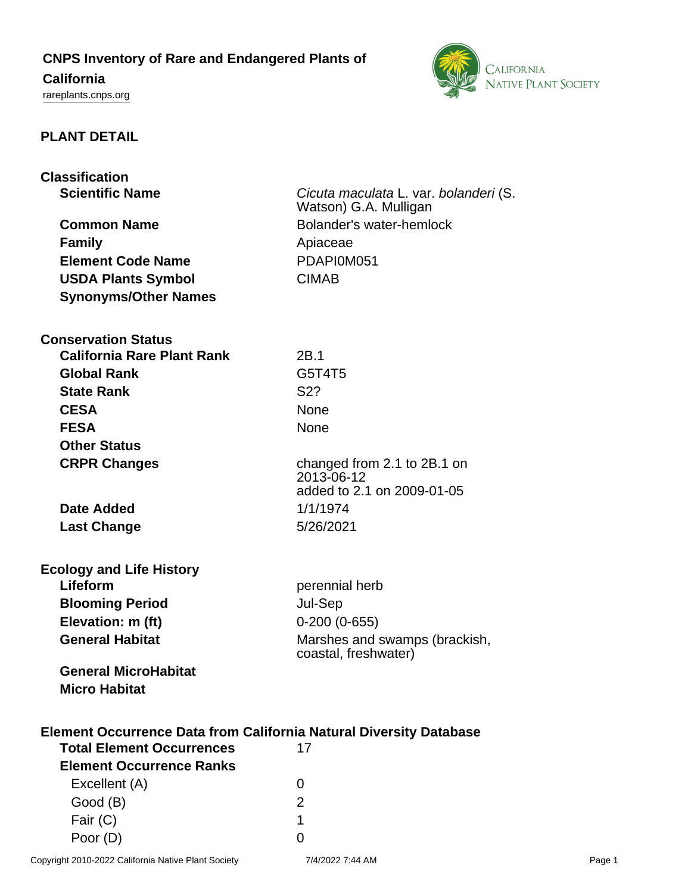# **CNPS Inventory of Rare and Endangered Plants of**

# **California**

<rareplants.cnps.org>



## **PLANT DETAIL**

| <b>Classification</b>                                                     |                                          |
|---------------------------------------------------------------------------|------------------------------------------|
| <b>Scientific Name</b>                                                    | Cicuta maculata L. var. bolanderi (S.    |
|                                                                           | Watson) G.A. Mulligan                    |
| <b>Common Name</b>                                                        | Bolander's water-hemlock                 |
| <b>Family</b>                                                             | Apiaceae                                 |
| <b>Element Code Name</b>                                                  | PDAPI0M051                               |
| <b>USDA Plants Symbol</b>                                                 | <b>CIMAB</b>                             |
| <b>Synonyms/Other Names</b>                                               |                                          |
|                                                                           |                                          |
| <b>Conservation Status</b>                                                |                                          |
| <b>California Rare Plant Rank</b>                                         | 2B.1                                     |
| <b>Global Rank</b>                                                        | G5T4T5                                   |
| <b>State Rank</b>                                                         | S <sub>2</sub> ?                         |
| <b>CESA</b>                                                               | None                                     |
| <b>FESA</b>                                                               | <b>None</b>                              |
| <b>Other Status</b>                                                       |                                          |
| <b>CRPR Changes</b>                                                       | changed from 2.1 to 2B.1 on              |
|                                                                           | 2013-06-12<br>added to 2.1 on 2009-01-05 |
| <b>Date Added</b>                                                         | 1/1/1974                                 |
|                                                                           | 5/26/2021                                |
| <b>Last Change</b>                                                        |                                          |
| <b>Ecology and Life History</b>                                           |                                          |
| Lifeform                                                                  | perennial herb                           |
| <b>Blooming Period</b>                                                    | Jul-Sep                                  |
| Elevation: m (ft)                                                         | $0-200(0-655)$                           |
| <b>General Habitat</b>                                                    | Marshes and swamps (brackish,            |
|                                                                           | coastal, freshwater)                     |
| <b>General MicroHabitat</b>                                               |                                          |
| <b>Micro Habitat</b>                                                      |                                          |
|                                                                           |                                          |
| <b>Element Occurrence Data from California Natural Diversity Database</b> |                                          |
| <b>Total Element Occurrences</b>                                          | 17                                       |
| <b>Element Occurrence Ranks</b>                                           |                                          |
| Excellent (A)                                                             | 0                                        |
| Good (B)                                                                  | $\overline{2}$                           |
| Fair (C)                                                                  | 1                                        |

Poor (D) 0